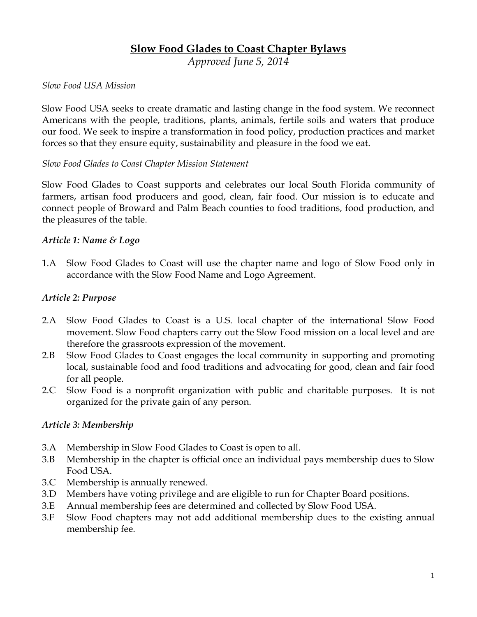# **Slow Food Glades to Coast Chapter Bylaws**

*Approved June 5, 2014*

#### *Slow Food USA Mission*

Slow Food USA seeks to create dramatic and lasting change in the food system. We reconnect Americans with the people, traditions, plants, animals, fertile soils and waters that produce our food. We seek to inspire a transformation in food policy, production practices and market forces so that they ensure equity, sustainability and pleasure in the food we eat.

#### *Slow Food Glades to Coast Chapter Mission Statement*

Slow Food Glades to Coast supports and celebrates our local South Florida community of farmers, artisan food producers and good, clean, fair food. Our mission is to educate and connect people of Broward and Palm Beach counties to food traditions, food production, and the pleasures of the table.

#### *Article 1: Name & Logo*

1.A Slow Food Glades to Coast will use the chapter name and logo of Slow Food only in accordance with the Slow Food Name and Logo Agreement.

#### *Article 2: Purpose*

- 2.A Slow Food Glades to Coast is a U.S. local chapter of the international Slow Food movement. Slow Food chapters carry out the Slow Food mission on a local level and are therefore the grassroots expression of the movement.
- 2.B Slow Food Glades to Coast engages the local community in supporting and promoting local, sustainable food and food traditions and advocating for good, clean and fair food for all people.
- 2.C Slow Food is a nonprofit organization with public and charitable purposes. It is not organized for the private gain of any person.

### *Article 3: Membership*

- 3.A Membership in Slow Food Glades to Coast is open to all.
- 3.B Membership in the chapter is official once an individual pays membership dues to Slow Food USA.
- 3.C Membership is annually renewed.
- 3.D Members have voting privilege and are eligible to run for Chapter Board positions.
- 3.E Annual membership fees are determined and collected by Slow Food USA.
- 3.F Slow Food chapters may not add additional membership dues to the existing annual membership fee.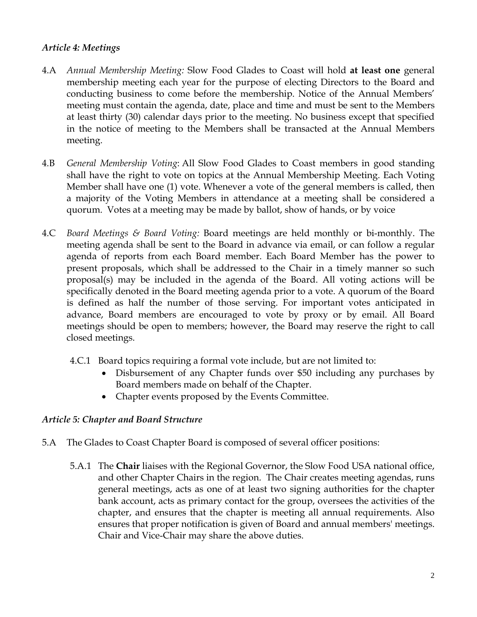### *Article 4: Meetings*

- 4.A *Annual Membership Meeting:* Slow Food Glades to Coast will hold **at least one** general membership meeting each year for the purpose of electing Directors to the Board and conducting business to come before the membership. Notice of the Annual Members' meeting must contain the agenda, date, place and time and must be sent to the Members at least thirty (30) calendar days prior to the meeting. No business except that specified in the notice of meeting to the Members shall be transacted at the Annual Members meeting.
- 4.B *General Membership Voting*: All Slow Food Glades to Coast members in good standing shall have the right to vote on topics at the Annual Membership Meeting. Each Voting Member shall have one (1) vote. Whenever a vote of the general members is called, then a majority of the Voting Members in attendance at a meeting shall be considered a quorum. Votes at a meeting may be made by ballot, show of hands, or by voice
- 4.C *Board Meetings & Board Voting:* Board meetings are held monthly or bi-monthly. The meeting agenda shall be sent to the Board in advance via email, or can follow a regular agenda of reports from each Board member. Each Board Member has the power to present proposals, which shall be addressed to the Chair in a timely manner so such proposal(s) may be included in the agenda of the Board. All voting actions will be specifically denoted in the Board meeting agenda prior to a vote. A quorum of the Board is defined as half the number of those serving. For important votes anticipated in advance, Board members are encouraged to vote by proxy or by email. All Board meetings should be open to members; however, the Board may reserve the right to call closed meetings.
	- 4.C.1 Board topics requiring a formal vote include, but are not limited to:
		- Disbursement of any Chapter funds over \$50 including any purchases by Board members made on behalf of the Chapter.
		- Chapter events proposed by the Events Committee.

### *Article 5: Chapter and Board Structure*

- 5.A The Glades to Coast Chapter Board is composed of several officer positions:
	- 5.A.1 The **Chair** liaises with the Regional Governor, the Slow Food USA national office, and other Chapter Chairs in the region. The Chair creates meeting agendas, runs general meetings, acts as one of at least two signing authorities for the chapter bank account, acts as primary contact for the group, oversees the activities of the chapter, and ensures that the chapter is meeting all annual requirements. Also ensures that proper notification is given of Board and annual members' meetings. Chair and Vice-Chair may share the above duties.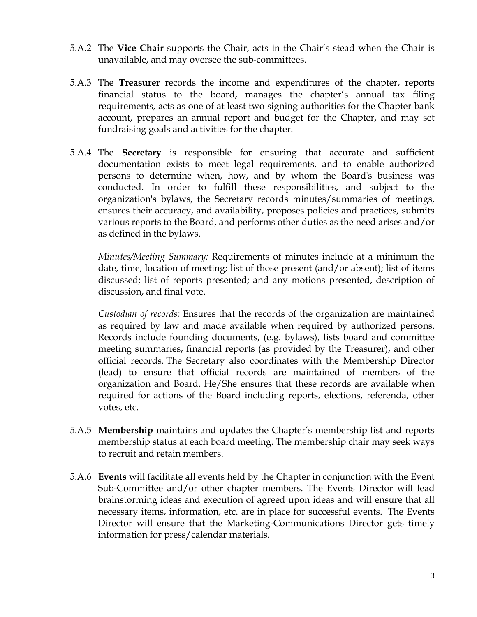- 5.A.2 The **Vice Chair** supports the Chair, acts in the Chair's stead when the Chair is unavailable, and may oversee the sub-committees.
- 5.A.3 The **Treasurer** records the income and expenditures of the chapter, reports financial status to the board, manages the chapter's annual tax filing requirements, acts as one of at least two signing authorities for the Chapter bank account, prepares an annual report and budget for the Chapter, and may set fundraising goals and activities for the chapter.
- 5.A.4 The **Secretary** is responsible for ensuring that accurate and sufficient documentation exists to meet legal requirements, and to enable authorized persons to determine when, how, and by whom the Board's business was conducted. In order to fulfill these responsibilities, and subject to the organization's bylaws, the Secretary records minutes/summaries of meetings, ensures their accuracy, and availability, proposes policies and practices, submits various reports to the Board, and performs other duties as the need arises and/or as defined in the bylaws.

*Minutes/Meeting Summary:* Requirements of minutes include at a minimum the date, time, location of meeting; list of those present (and/or absent); list of items discussed; list of reports presented; and any motions presented, description of discussion, and final vote.

*Custodian of records:* Ensures that the records of the organization are maintained as required by law and made available when required by authorized persons. Records include founding documents, (e.g. bylaws), lists board and committee meeting summaries, financial reports (as provided by the Treasurer), and other official records. The Secretary also coordinates with the Membership Director (lead) to ensure that official records are maintained of members of the organization and Board. He/She ensures that these records are available when required for actions of the Board including reports, elections, referenda, other votes, etc.

- 5.A.5 **Membership** maintains and updates the Chapter's membership list and reports membership status at each board meeting. The membership chair may seek ways to recruit and retain members.
- 5.A.6 **Events** will facilitate all events held by the Chapter in conjunction with the Event Sub-Committee and/or other chapter members. The Events Director will lead brainstorming ideas and execution of agreed upon ideas and will ensure that all necessary items, information, etc. are in place for successful events. The Events Director will ensure that the Marketing-Communications Director gets timely information for press/calendar materials.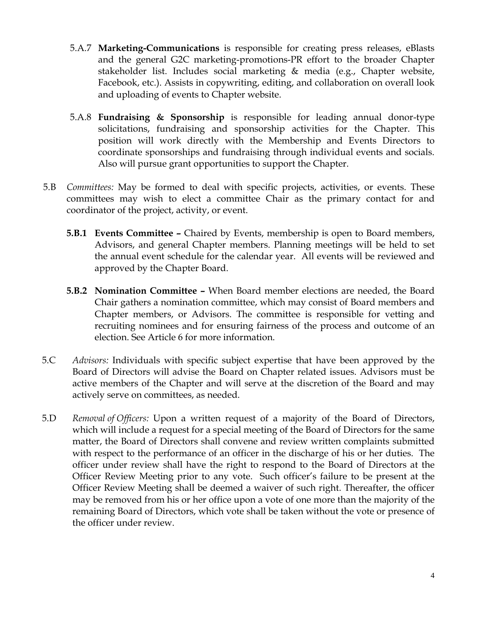- 5.A.7 **Marketing-Communications** is responsible for creating press releases, eBlasts and the general G2C marketing-promotions-PR effort to the broader Chapter stakeholder list. Includes social marketing & media (e.g., Chapter website, Facebook, etc.). Assists in copywriting, editing, and collaboration on overall look and uploading of events to Chapter website.
- 5.A.8 **Fundraising & Sponsorship** is responsible for leading annual donor-type solicitations, fundraising and sponsorship activities for the Chapter. This position will work directly with the Membership and Events Directors to coordinate sponsorships and fundraising through individual events and socials. Also will pursue grant opportunities to support the Chapter.
- 5.B *Committees:* May be formed to deal with specific projects, activities, or events. These committees may wish to elect a committee Chair as the primary contact for and coordinator of the project, activity, or event.
	- **5.B.1 Events Committee –** Chaired by Events, membership is open to Board members, Advisors, and general Chapter members. Planning meetings will be held to set the annual event schedule for the calendar year. All events will be reviewed and approved by the Chapter Board.
	- **5.B.2 Nomination Committee –** When Board member elections are needed, the Board Chair gathers a nomination committee, which may consist of Board members and Chapter members, or Advisors. The committee is responsible for vetting and recruiting nominees and for ensuring fairness of the process and outcome of an election. See Article 6 for more information.
- 5.C *Advisors:* Individuals with specific subject expertise that have been approved by the Board of Directors will advise the Board on Chapter related issues. Advisors must be active members of the Chapter and will serve at the discretion of the Board and may actively serve on committees, as needed.
- 5.D *Removal of Officers:* Upon a written request of a majority of the Board of Directors, which will include a request for a special meeting of the Board of Directors for the same matter, the Board of Directors shall convene and review written complaints submitted with respect to the performance of an officer in the discharge of his or her duties. The officer under review shall have the right to respond to the Board of Directors at the Officer Review Meeting prior to any vote. Such officer's failure to be present at the Officer Review Meeting shall be deemed a waiver of such right. Thereafter, the officer may be removed from his or her office upon a vote of one more than the majority of the remaining Board of Directors, which vote shall be taken without the vote or presence of the officer under review.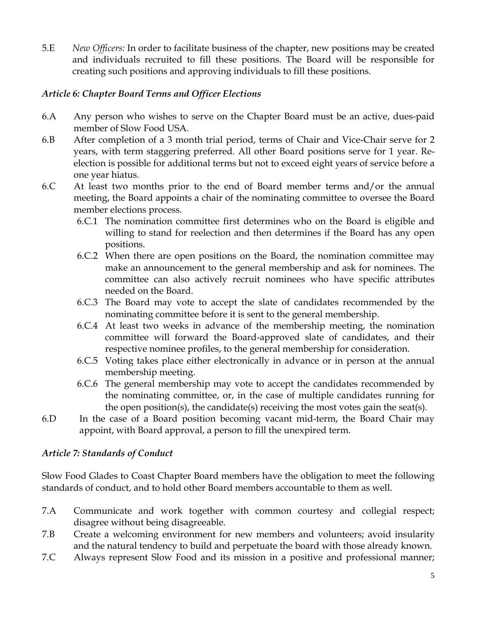5.E *New Officers:* In order to facilitate business of the chapter, new positions may be created and individuals recruited to fill these positions. The Board will be responsible for creating such positions and approving individuals to fill these positions.

### *Article 6: Chapter Board Terms and Officer Elections*

- 6.A Any person who wishes to serve on the Chapter Board must be an active, dues-paid member of Slow Food USA.
- 6.B After completion of a 3 month trial period, terms of Chair and Vice-Chair serve for 2 years, with term staggering preferred. All other Board positions serve for 1 year. Reelection is possible for additional terms but not to exceed eight years of service before a one year hiatus.
- 6.C At least two months prior to the end of Board member terms and/or the annual meeting, the Board appoints a chair of the nominating committee to oversee the Board member elections process.
	- 6.C.1 The nomination committee first determines who on the Board is eligible and willing to stand for reelection and then determines if the Board has any open positions.
	- 6.C.2 When there are open positions on the Board, the nomination committee may make an announcement to the general membership and ask for nominees. The committee can also actively recruit nominees who have specific attributes needed on the Board.
	- 6.C.3 The Board may vote to accept the slate of candidates recommended by the nominating committee before it is sent to the general membership.
	- 6.C.4 At least two weeks in advance of the membership meeting, the nomination committee will forward the Board-approved slate of candidates, and their respective nominee profiles, to the general membership for consideration.
	- 6.C.5 Voting takes place either electronically in advance or in person at the annual membership meeting.
	- 6.C.6 The general membership may vote to accept the candidates recommended by the nominating committee, or, in the case of multiple candidates running for the open position(s), the candidate(s) receiving the most votes gain the seat(s).
- 6.D In the case of a Board position becoming vacant mid-term, the Board Chair may appoint, with Board approval, a person to fill the unexpired term.

# *Article 7: Standards of Conduct*

Slow Food Glades to Coast Chapter Board members have the obligation to meet the following standards of conduct, and to hold other Board members accountable to them as well.

- 7.A Communicate and work together with common courtesy and collegial respect; disagree without being disagreeable.
- 7.B Create a welcoming environment for new members and volunteers; avoid insularity and the natural tendency to build and perpetuate the board with those already known.
- 7.C Always represent Slow Food and its mission in a positive and professional manner;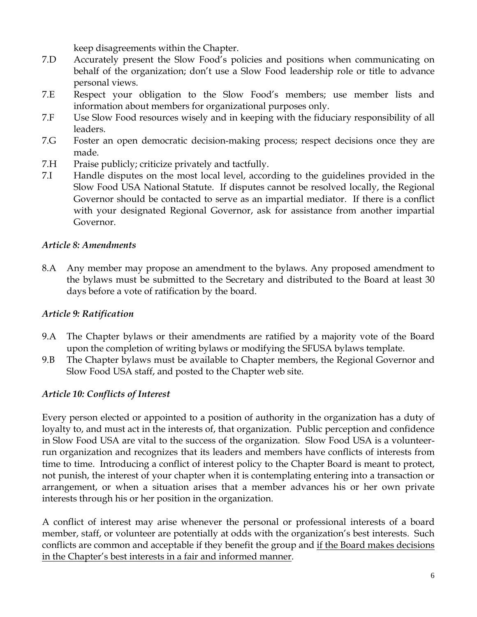keep disagreements within the Chapter.

- 7.D Accurately present the Slow Food's policies and positions when communicating on behalf of the organization; don't use a Slow Food leadership role or title to advance personal views.
- 7.E Respect your obligation to the Slow Food's members; use member lists and information about members for organizational purposes only.
- 7.F Use Slow Food resources wisely and in keeping with the fiduciary responsibility of all leaders.
- 7.G Foster an open democratic decision-making process; respect decisions once they are made.
- 7.H Praise publicly; criticize privately and tactfully.
- 7.I Handle disputes on the most local level, according to the guidelines provided in the Slow Food USA National Statute. If disputes cannot be resolved locally, the Regional Governor should be contacted to serve as an impartial mediator. If there is a conflict with your designated Regional Governor, ask for assistance from another impartial Governor.

### *Article 8: Amendments*

8.A Any member may propose an amendment to the bylaws. Any proposed amendment to the bylaws must be submitted to the Secretary and distributed to the Board at least 30 days before a vote of ratification by the board.

### *Article 9: Ratification*

- 9.A The Chapter bylaws or their amendments are ratified by a majority vote of the Board upon the completion of writing bylaws or modifying the SFUSA bylaws template.
- 9.B The Chapter bylaws must be available to Chapter members, the Regional Governor and Slow Food USA staff, and posted to the Chapter web site.

# *Article 10: Conflicts of Interest*

Every person elected or appointed to a position of authority in the organization has a duty of loyalty to, and must act in the interests of, that organization. Public perception and confidence in Slow Food USA are vital to the success of the organization. Slow Food USA is a volunteerrun organization and recognizes that its leaders and members have conflicts of interests from time to time. Introducing a conflict of interest policy to the Chapter Board is meant to protect, not punish, the interest of your chapter when it is contemplating entering into a transaction or arrangement, or when a situation arises that a member advances his or her own private interests through his or her position in the organization.

A conflict of interest may arise whenever the personal or professional interests of a board member, staff, or volunteer are potentially at odds with the organization's best interests. Such conflicts are common and acceptable if they benefit the group and if the Board makes decisions in the Chapter's best interests in a fair and informed manner.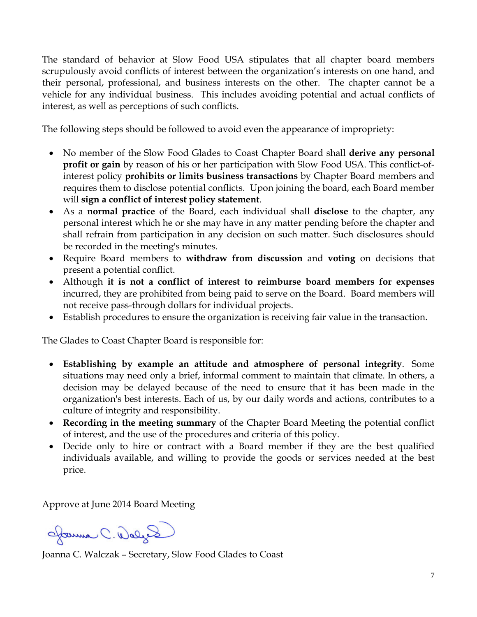The standard of behavior at Slow Food USA stipulates that all chapter board members scrupulously avoid conflicts of interest between the organization's interests on one hand, and their personal, professional, and business interests on the other. The chapter cannot be a vehicle for any individual business. This includes avoiding potential and actual conflicts of interest, as well as perceptions of such conflicts.

The following steps should be followed to avoid even the appearance of impropriety:

- No member of the Slow Food Glades to Coast Chapter Board shall **derive any personal profit or gain** by reason of his or her participation with Slow Food USA. This conflict-ofinterest policy **prohibits or limits business transactions** by Chapter Board members and requires them to disclose potential conflicts. Upon joining the board, each Board member will **sign a conflict of interest policy statement**.
- As a **normal practice** of the Board, each individual shall **disclose** to the chapter, any personal interest which he or she may have in any matter pending before the chapter and shall refrain from participation in any decision on such matter. Such disclosures should be recorded in the meeting's minutes.
- Require Board members to **withdraw from discussion** and **voting** on decisions that present a potential conflict.
- Although **it is not a conflict of interest to reimburse board members for expenses** incurred, they are prohibited from being paid to serve on the Board. Board members will not receive pass-through dollars for individual projects.
- Establish procedures to ensure the organization is receiving fair value in the transaction.

The Glades to Coast Chapter Board is responsible for:

- **Establishing by example an attitude and atmosphere of personal integrity**. Some situations may need only a brief, informal comment to maintain that climate. In others, a decision may be delayed because of the need to ensure that it has been made in the organization's best interests. Each of us, by our daily words and actions, contributes to a culture of integrity and responsibility.
- **Recording in the meeting summary** of the Chapter Board Meeting the potential conflict of interest, and the use of the procedures and criteria of this policy.
- Decide only to hire or contract with a Board member if they are the best qualified individuals available, and willing to provide the goods or services needed at the best price.

Approve at June 2014 Board Meeting

Januar C. Walys

Joanna C. Walczak – Secretary, Slow Food Glades to Coast